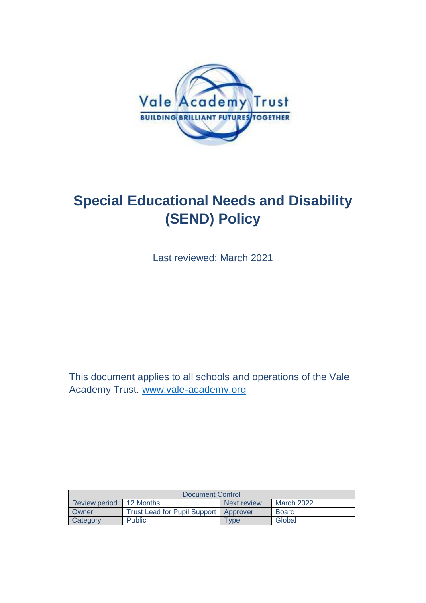

# **Special Educational Needs and Disability (SEND) Policy**

Last reviewed: March 2021

This document applies to all schools and operations of the Vale Academy Trust. [www.vale-academy.org](http://www.vale-academy.org/)

| Document Control |                                         |             |              |  |
|------------------|-----------------------------------------|-------------|--------------|--|
| Review period    | 12 Months                               | Next review | March 2022   |  |
| Owner            | Trust Lead for Pupil Support   Approver |             | <b>Board</b> |  |
| Category         | Public                                  | Tvpe        | Global       |  |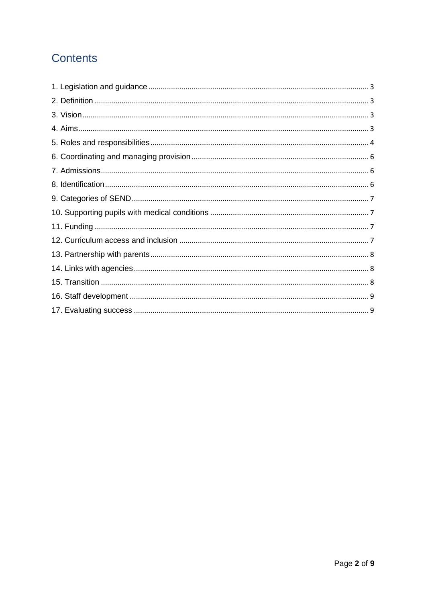# **Contents**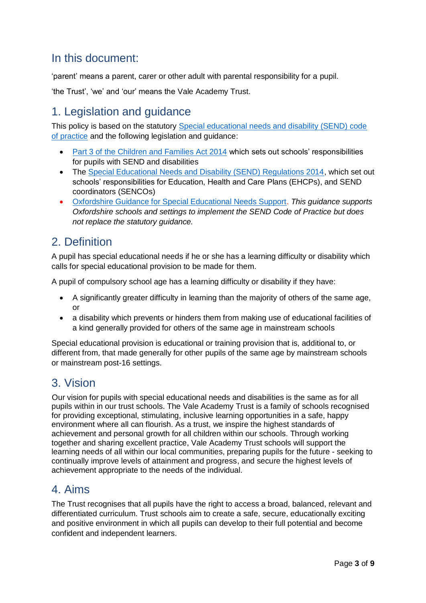# In this document:

'parent' means a parent, carer or other adult with parental responsibility for a pupil.

'the Trust', 'we' and 'our' means the Vale Academy Trust.

# <span id="page-2-0"></span>1. Legislation and guidance

This policy is based on the statutory [Special educational needs and disability \(SEND\) code](https://www.gov.uk/government/publications/send-code-of-practice-0-to-25)  [of practice](https://www.gov.uk/government/publications/send-code-of-practice-0-to-25) and the following legislation and guidance:

- Part 3 of the Children [and Families Act 2014](http://www.legislation.gov.uk/ukpga/2014/6/part/3/enacted) which sets out schools' responsibilities for pupils with SEND and disabilities
- The [Special Educational Needs and Disability \(SEND\) Regulations 2014,](http://www.legislation.gov.uk/uksi/2014/1530/contents/made) which set out schools' responsibilities for Education, Health and Care Plans (EHCPs), and SEND coordinators (SENCOs)
- [Oxfordshire Guidance for Special Educational Needs Support.](https://www.oxfordshire.gov.uk/residents/children-education-and-families/education-and-learning/special-educational-needs-and-disability-local-offer/guidance-and-policies) *This guidance supports Oxfordshire schools and settings to implement the SEND Code of Practice but does not replace the statutory guidance.*

# <span id="page-2-1"></span>2. Definition

A pupil has special educational needs if he or she has a learning difficulty or disability which calls for special educational provision to be made for them.

A pupil of compulsory school age has a learning difficulty or disability if they have:

- A significantly greater difficulty in learning than the majority of others of the same age, or
- a disability which prevents or hinders them from making use of educational facilities of a kind generally provided for others of the same age in mainstream schools

Special educational provision is educational or training provision that is, additional to, or different from, that made generally for other pupils of the same age by mainstream schools or mainstream post-16 settings.

### <span id="page-2-2"></span>3. Vision

 Our vision for pupils with special educational needs and disabilities is the same as for all pupils within in our trust schools. The Vale Academy Trust is a family of schools recognised for providing exceptional, stimulating, inclusive learning opportunities in a safe, happy environment where all can flourish. As a trust, we inspire the highest standards of achievement and personal growth for all children within our schools. Through working together and sharing excellent practice, Vale Academy Trust schools will support the learning needs of all within our local communities, preparing pupils for the future - seeking to continually improve levels of attainment and progress, and secure the highest levels of achievement appropriate to the needs of the individual.

# <span id="page-2-3"></span>4. Aims

The Trust recognises that all pupils have the right to access a broad, balanced, relevant and differentiated curriculum. Trust schools aim to create a safe, secure, educationally exciting and positive environment in which all pupils can develop to their full potential and become confident and independent learners.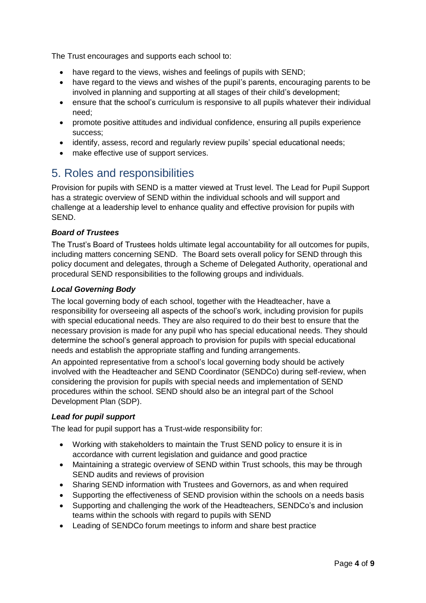The Trust encourages and supports each school to:

- have regard to the views, wishes and feelings of pupils with SEND;
- have regard to the views and wishes of the pupil's parents, encouraging parents to be involved in planning and supporting at all stages of their child's development;
- ensure that the school's curriculum is responsive to all pupils whatever their individual need;
- promote positive attitudes and individual confidence, ensuring all pupils experience success;
- identify, assess, record and regularly review pupils' special educational needs;
- make effective use of support services.

# <span id="page-3-0"></span>5. Roles and responsibilities

Provision for pupils with SEND is a matter viewed at Trust level. The Lead for Pupil Support has a strategic overview of SEND within the individual schools and will support and challenge at a leadership level to enhance quality and effective provision for pupils with SEND.

#### *Board of Trustees*

The Trust's Board of Trustees holds ultimate legal accountability for all outcomes for pupils, including matters concerning SEND. The Board sets overall policy for SEND through this policy document and delegates, through a Scheme of Delegated Authority, operational and procedural SEND responsibilities to the following groups and individuals.

#### *Local Governing Body*

The local governing body of each school, together with the Headteacher, have a responsibility for overseeing all aspects of the school's work, including provision for pupils with special educational needs. They are also required to do their best to ensure that the necessary provision is made for any pupil who has special educational needs. They should determine the school's general approach to provision for pupils with special educational needs and establish the appropriate staffing and funding arrangements.

An appointed representative from a school's local governing body should be actively involved with the Headteacher and SEND Coordinator (SENDCo) during self-review, when considering the provision for pupils with special needs and implementation of SEND procedures within the school. SEND should also be an integral part of the School Development Plan (SDP).

#### *Lead for pupil support*

The lead for pupil support has a Trust-wide responsibility for:

- Working with stakeholders to maintain the Trust SEND policy to ensure it is in accordance with current legislation and guidance and good practice
- Maintaining a strategic overview of SEND within Trust schools, this may be through SEND audits and reviews of provision
- Sharing SEND information with Trustees and Governors, as and when required
- Supporting the effectiveness of SEND provision within the schools on a needs basis
- Supporting and challenging the work of the Headteachers, SENDCo's and inclusion teams within the schools with regard to pupils with SEND
- Leading of SENDCo forum meetings to inform and share best practice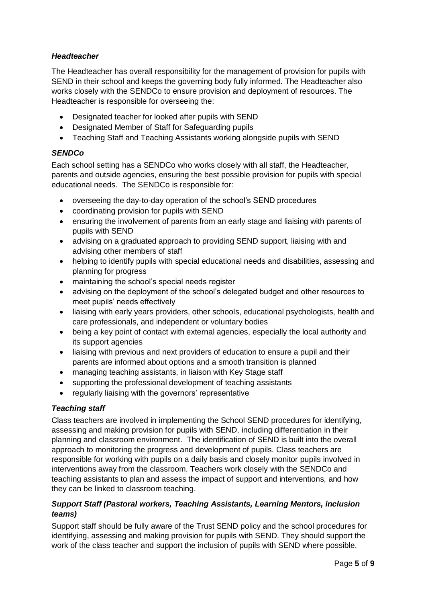#### *Headteacher*

The Headteacher has overall responsibility for the management of provision for pupils with SEND in their school and keeps the governing body fully informed. The Headteacher also works closely with the SENDCo to ensure provision and deployment of resources. The Headteacher is responsible for overseeing the:

- Designated teacher for looked after pupils with SEND
- Designated Member of Staff for Safeguarding pupils
- Teaching Staff and Teaching Assistants working alongside pupils with SEND

#### *SENDCo*

Each school setting has a SENDCo who works closely with all staff, the Headteacher, parents and outside agencies, ensuring the best possible provision for pupils with special educational needs. The SENDCo is responsible for:

- overseeing the day-to-day operation of the school's SEND procedures
- coordinating provision for pupils with SEND
- ensuring the involvement of parents from an early stage and liaising with parents of pupils with SEND
- advising on a graduated approach to providing SEND support, liaising with and advising other members of staff
- helping to identify pupils with special educational needs and disabilities, assessing and planning for progress
- maintaining the school's special needs register
- advising on the deployment of the school's delegated budget and other resources to meet pupils' needs effectively
- liaising with early years providers, other schools, educational psychologists, health and care professionals, and independent or voluntary bodies
- being a key point of contact with external agencies, especially the local authority and its support agencies
- liaising with previous and next providers of education to ensure a pupil and their parents are informed about options and a smooth transition is planned
- managing teaching assistants, in liaison with Key Stage staff
- supporting the professional development of teaching assistants
- regularly liaising with the governors' representative

#### *Teaching staff*

Class teachers are involved in implementing the School SEND procedures for identifying, assessing and making provision for pupils with SEND, including differentiation in their planning and classroom environment. The identification of SEND is built into the overall approach to monitoring the progress and development of pupils. Class teachers are responsible for working with pupils on a daily basis and closely monitor pupils involved in interventions away from the classroom. Teachers work closely with the SENDCo and teaching assistants to plan and assess the impact of support and interventions, and how they can be linked to classroom teaching.

#### *Support Staff (Pastoral workers, Teaching Assistants, Learning Mentors, inclusion teams)*

Support staff should be fully aware of the Trust SEND policy and the school procedures for identifying, assessing and making provision for pupils with SEND. They should support the work of the class teacher and support the inclusion of pupils with SEND where possible.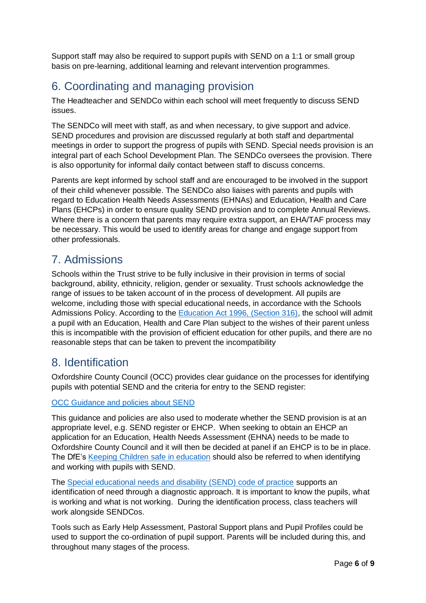Support staff may also be required to support pupils with SEND on a 1:1 or small group basis on pre-learning, additional learning and relevant intervention programmes.

# <span id="page-5-0"></span>6. Coordinating and managing provision

The Headteacher and SENDCo within each school will meet frequently to discuss SEND issues.

The SENDCo will meet with staff, as and when necessary, to give support and advice. SEND procedures and provision are discussed regularly at both staff and departmental meetings in order to support the progress of pupils with SEND. Special needs provision is an integral part of each School Development Plan. The SENDCo oversees the provision. There is also opportunity for informal daily contact between staff to discuss concerns.

Parents are kept informed by school staff and are encouraged to be involved in the support of their child whenever possible. The SENDCo also liaises with parents and pupils with regard to Education Health Needs Assessments (EHNAs) and Education, Health and Care Plans (EHCPs) in order to ensure quality SEND provision and to complete Annual Reviews. Where there is a concern that parents may require extra support, an EHA/TAF process may be necessary. This would be used to identify areas for change and engage support from other professionals.

# <span id="page-5-1"></span>7. Admissions

Schools within the Trust strive to be fully inclusive in their provision in terms of social background, ability, ethnicity, religion, gender or sexuality. Trust schools acknowledge the range of issues to be taken account of in the process of development. All pupils are welcome, including those with special educational needs, in accordance with the Schools Admissions Policy. According to the [Education Act 1996, \(Section 316\),](http://www.legislation.gov.uk/ukpga/1996/56/section/316) the school will admit a pupil with an Education, Health and Care Plan subject to the wishes of their parent unless this is incompatible with the provision of efficient education for other pupils, and there are no reasonable steps that can be taken to prevent the incompatibility

# <span id="page-5-2"></span>8. Identification

Oxfordshire County Council (OCC) provides clear guidance on the processes for identifying pupils with potential SEND and the criteria for entry to the SEND register:

#### [OCC Guidance and policies about SEND](https://www.oxfordshire.gov.uk/residents/children-education-and-families/education-and-learning/special-educational-needs-and-disability-local-offer/guidance-and-policies)

This guidance and policies are also used to moderate whether the SEND provision is at an appropriate level, e.g. SEND register or EHCP. When seeking to obtain an EHCP an application for an Education, Health Needs Assessment (EHNA) needs to be made to Oxfordshire County Council and it will then be decided at panel if an EHCP is to be in place. The DfE's Keeping Children [safe in education](https://www.gov.uk/government/publications/keeping-children-safe-in-education--2) should also be referred to when identifying and working with pupils with SEND.

The [Special educational needs and disability \(SEND\) code of practice](https://www.gov.uk/government/publications/send-code-of-practice-0-to-25) supports an identification of need through a diagnostic approach. It is important to know the pupils, what is working and what is not working. During the identification process, class teachers will work alongside SENDCos.

Tools such as Early Help Assessment, Pastoral Support plans and Pupil Profiles could be used to support the co-ordination of pupil support. Parents will be included during this, and throughout many stages of the process.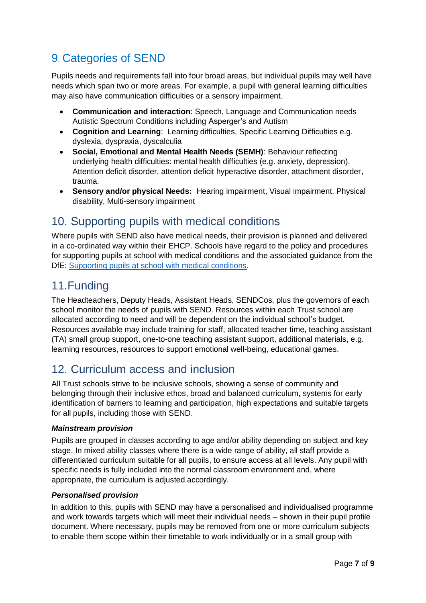# <span id="page-6-0"></span>9. Categories of SEND

Pupils needs and requirements fall into four broad areas, but individual pupils may well have needs which span two or more areas. For example, a pupil with general learning difficulties may also have communication difficulties or a sensory impairment.

- **Communication and interaction**: Speech, Language and Communication needs Autistic Spectrum Conditions including Asperger's and Autism
- **Cognition and Learning**: Learning difficulties, Specific Learning Difficulties e.g. dyslexia, dyspraxia, dyscalculia
- **Social, Emotional and Mental Health Needs (SEMH)**: Behaviour reflecting underlying health difficulties: mental health difficulties (e.g. anxiety, depression). Attention deficit disorder, attention deficit hyperactive disorder, attachment disorder, trauma.
- **Sensory and/or physical Needs:** Hearing impairment, Visual impairment, Physical disability, Multi-sensory impairment

### <span id="page-6-1"></span>10. Supporting pupils with medical conditions

Where pupils with SEND also have medical needs, their provision is planned and delivered in a co-ordinated way within their EHCP. Schools have regard to the policy and procedures for supporting pupils at school with medical conditions and the associated guidance from the DfE: [Supporting pupils at school with medical conditions.](https://www.gov.uk/government/publications/supporting-pupils-at-school-with-medical-conditions--3)

# <span id="page-6-2"></span>11.Funding

The Headteachers, Deputy Heads, Assistant Heads, SENDCos, plus the governors of each school monitor the needs of pupils with SEND. Resources within each Trust school are allocated according to need and will be dependent on the individual school's budget. Resources available may include training for staff, allocated teacher time, teaching assistant (TA) small group support, one-to-one teaching assistant support, additional materials, e.g. learning resources, resources to support emotional well-being, educational games.

# <span id="page-6-3"></span>12. Curriculum access and inclusion

All Trust schools strive to be inclusive schools, showing a sense of community and belonging through their inclusive ethos, broad and balanced curriculum, systems for early identification of barriers to learning and participation, high expectations and suitable targets for all pupils, including those with SEND.

#### *Mainstream provision*

Pupils are grouped in classes according to age and/or ability depending on subject and key stage. In mixed ability classes where there is a wide range of ability, all staff provide a differentiated curriculum suitable for all pupils, to ensure access at all levels. Any pupil with specific needs is fully included into the normal classroom environment and, where appropriate, the curriculum is adjusted accordingly.

#### *Personalised provision*

In addition to this, pupils with SEND may have a personalised and individualised programme and work towards targets which will meet their individual needs – shown in their pupil profile document. Where necessary, pupils may be removed from one or more curriculum subjects to enable them scope within their timetable to work individually or in a small group with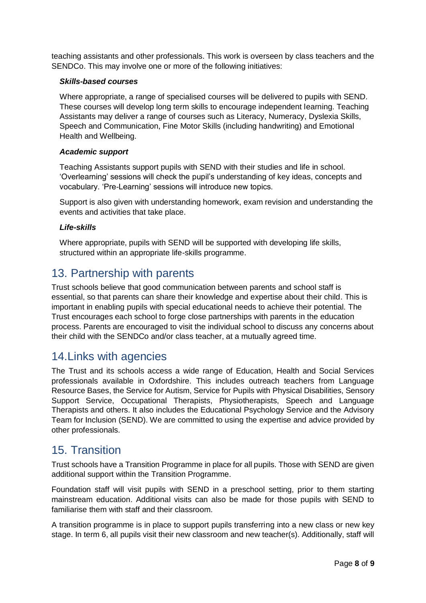teaching assistants and other professionals. This work is overseen by class teachers and the SENDCo. This may involve one or more of the following initiatives:

#### *Skills-based courses*

Where appropriate, a range of specialised courses will be delivered to pupils with SEND. These courses will develop long term skills to encourage independent learning. Teaching Assistants may deliver a range of courses such as Literacy, Numeracy, Dyslexia Skills, Speech and Communication, Fine Motor Skills (including handwriting) and Emotional Health and Wellbeing.

#### *Academic support*

Teaching Assistants support pupils with SEND with their studies and life in school. 'Overlearning' sessions will check the pupil's understanding of key ideas, concepts and vocabulary. 'Pre-Learning' sessions will introduce new topics.

Support is also given with understanding homework, exam revision and understanding the events and activities that take place.

#### *Life-skills*

Where appropriate, pupils with SEND will be supported with developing life skills, structured within an appropriate life-skills programme.

### <span id="page-7-0"></span>13. Partnership with parents

Trust schools believe that good communication between parents and school staff is essential, so that parents can share their knowledge and expertise about their child. This is important in enabling pupils with special educational needs to achieve their potential. The Trust encourages each school to forge close partnerships with parents in the education process. Parents are encouraged to visit the individual school to discuss any concerns about their child with the SENDCo and/or class teacher, at a mutually agreed time.

### <span id="page-7-1"></span>14.Links with agencies

The Trust and its schools access a wide range of Education, Health and Social Services professionals available in Oxfordshire. This includes outreach teachers from Language Resource Bases, the Service for Autism, Service for Pupils with Physical Disabilities, Sensory Support Service, Occupational Therapists, Physiotherapists, Speech and Language Therapists and others. It also includes the Educational Psychology Service and the Advisory Team for Inclusion (SEND). We are committed to using the expertise and advice provided by other professionals.

### <span id="page-7-2"></span>15. Transition

Trust schools have a Transition Programme in place for all pupils. Those with SEND are given additional support within the Transition Programme.

Foundation staff will visit pupils with SEND in a preschool setting, prior to them starting mainstream education. Additional visits can also be made for those pupils with SEND to familiarise them with staff and their classroom.

A transition programme is in place to support pupils transferring into a new class or new key stage. In term 6, all pupils visit their new classroom and new teacher(s). Additionally, staff will